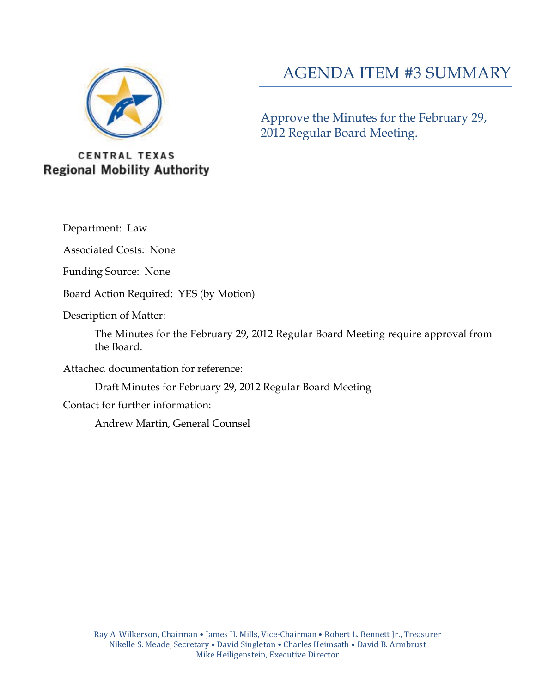

# AGENDA ITEM #3 SUMMARY

Approve the Minutes for the February 29, 2012 Regular Board Meeting.

# **CENTRAL TEXAS Regional Mobility Authority**

Department: Law

Associated Costs: None

Funding Source: None

Board Action Required: YES (by Motion)

Description of Matter:

The Minutes for the February 29, 2012 Regular Board Meeting require approval from the Board.

Attached documentation for reference:

Draft Minutes for February 29, 2012 Regular Board Meeting

Contact for further information:

Andrew Martin, General Counsel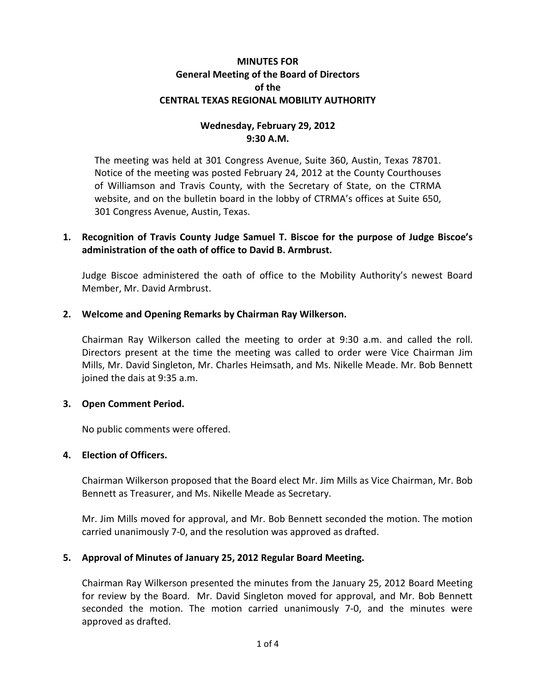#### **MINUTES FOR General Meeting of the Board of Directors of the CENTRAL TEXAS REGIONAL MOBILITY AUTHORITY**

# **Wednesday, February 29, 2012 9:30 A.M.**

The meeting was held at 301 Congress Avenue, Suite 360, Austin, Texas 78701. Notice of the meeting was posted February 24, 2012 at the County Courthouses of Williamson and Travis County, with the Secretary of State, on the CTRMA website, and on the bulletin board in the lobby of CTRMA's offices at Suite 650, 301 Congress Avenue, Austin, Texas.

# **1. Recognition of Travis County Judge Samuel T. Biscoe for the purpose of Judge Biscoe's administration of the oath of office to David B. Armbrust.**

Judge Biscoe administered the oath of office to the Mobility Authority's newest Board Member, Mr. David Armbrust.

#### **2. Welcome and Opening Remarks by Chairman Ray Wilkerson.**

Chairman Ray Wilkerson called the meeting to order at 9:30 a.m. and called the roll. Directors present at the time the meeting was called to order were Vice Chairman Jim Mills, Mr. David Singleton, Mr. Charles Heimsath, and Ms. Nikelle Meade. Mr. Bob Bennett joined the dais at 9:35 a.m.

#### **3. Open Comment Period.**

No public comments were offered.

#### **4. Election of Officers.**

Chairman Wilkerson proposed that the Board elect Mr. Jim Mills as Vice Chairman, Mr. Bob Bennett as Treasurer, and Ms. Nikelle Meade as Secretary.

Mr. Jim Mills moved for approval, and Mr. Bob Bennett seconded the motion. The motion carried unanimously 7-0, and the resolution was approved as drafted.

#### **5. Approval of Minutes of January 25, 2012 Regular Board Meeting.**

Chairman Ray Wilkerson presented the minutes from the January 25, 2012 Board Meeting for review by the Board. Mr. David Singleton moved for approval, and Mr. Bob Bennett seconded the motion. The motion carried unanimously 7-0, and the minutes were approved as drafted.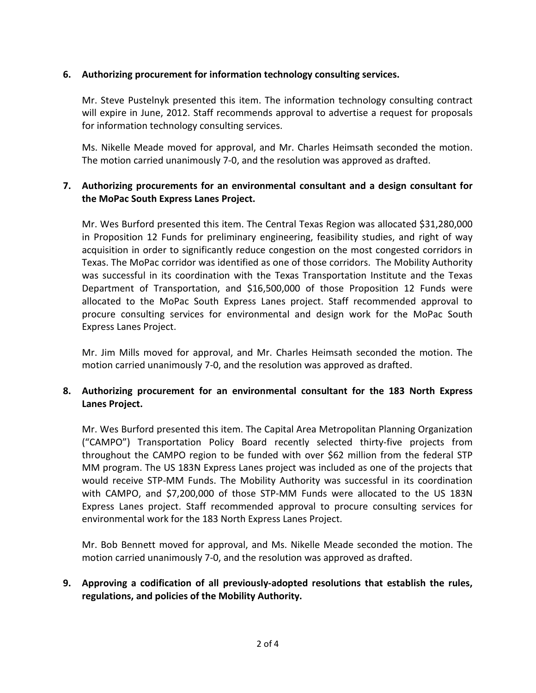#### **6. Authorizing procurement for information technology consulting services.**

Mr. Steve Pustelnyk presented this item. The information technology consulting contract will expire in June, 2012. Staff recommends approval to advertise a request for proposals for information technology consulting services.

Ms. Nikelle Meade moved for approval, and Mr. Charles Heimsath seconded the motion. The motion carried unanimously 7-0, and the resolution was approved as drafted.

# **7. Authorizing procurements for an environmental consultant and a design consultant for the MoPac South Express Lanes Project.**

Mr. Wes Burford presented this item. The Central Texas Region was allocated \$31,280,000 in Proposition 12 Funds for preliminary engineering, feasibility studies, and right of way acquisition in order to significantly reduce congestion on the most congested corridors in Texas. The MoPac corridor was identified as one of those corridors. The Mobility Authority was successful in its coordination with the Texas Transportation Institute and the Texas Department of Transportation, and \$16,500,000 of those Proposition 12 Funds were allocated to the MoPac South Express Lanes project. Staff recommended approval to procure consulting services for environmental and design work for the MoPac South Express Lanes Project.

Mr. Jim Mills moved for approval, and Mr. Charles Heimsath seconded the motion. The motion carried unanimously 7-0, and the resolution was approved as drafted.

# **8. Authorizing procurement for an environmental consultant for the 183 North Express Lanes Project.**

Mr. Wes Burford presented this item. The Capital Area Metropolitan Planning Organization ("CAMPO") Transportation Policy Board recently selected thirty-five projects from throughout the CAMPO region to be funded with over \$62 million from the federal STP MM program. The US 183N Express Lanes project was included as one of the projects that would receive STP-MM Funds. The Mobility Authority was successful in its coordination with CAMPO, and \$7,200,000 of those STP-MM Funds were allocated to the US 183N Express Lanes project. Staff recommended approval to procure consulting services for environmental work for the 183 North Express Lanes Project.

Mr. Bob Bennett moved for approval, and Ms. Nikelle Meade seconded the motion. The motion carried unanimously 7-0, and the resolution was approved as drafted.

# **9. Approving a codification of all previously-adopted resolutions that establish the rules, regulations, and policies of the Mobility Authority.**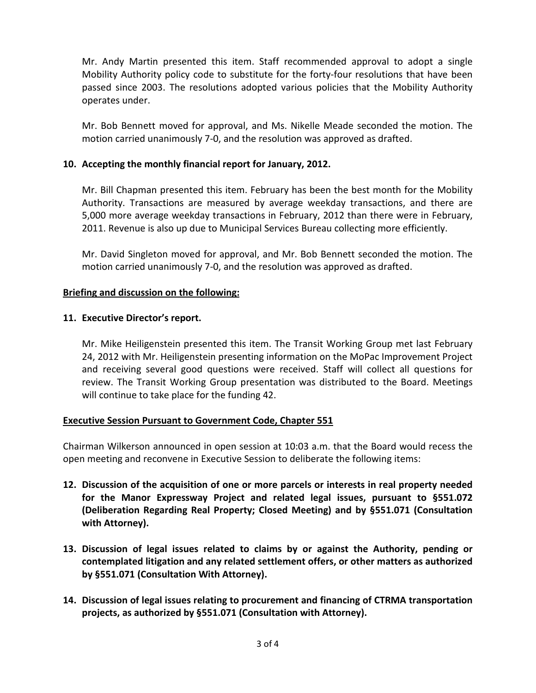Mr. Andy Martin presented this item. Staff recommended approval to adopt a single Mobility Authority policy code to substitute for the forty-four resolutions that have been passed since 2003. The resolutions adopted various policies that the Mobility Authority operates under.

Mr. Bob Bennett moved for approval, and Ms. Nikelle Meade seconded the motion. The motion carried unanimously 7-0, and the resolution was approved as drafted.

#### **10. Accepting the monthly financial report for January, 2012.**

Mr. Bill Chapman presented this item. February has been the best month for the Mobility Authority. Transactions are measured by average weekday transactions, and there are 5,000 more average weekday transactions in February, 2012 than there were in February, 2011. Revenue is also up due to Municipal Services Bureau collecting more efficiently.

Mr. David Singleton moved for approval, and Mr. Bob Bennett seconded the motion. The motion carried unanimously 7-0, and the resolution was approved as drafted.

#### **Briefing and discussion on the following:**

#### **11. Executive Director's report.**

Mr. Mike Heiligenstein presented this item. The Transit Working Group met last February 24, 2012 with Mr. Heiligenstein presenting information on the MoPac Improvement Project and receiving several good questions were received. Staff will collect all questions for review. The Transit Working Group presentation was distributed to the Board. Meetings will continue to take place for the funding 42.

# **Executive Session Pursuant to Government Code, Chapter 551**

Chairman Wilkerson announced in open session at 10:03 a.m. that the Board would recess the open meeting and reconvene in Executive Session to deliberate the following items:

- **12. Discussion of the acquisition of one or more parcels or interests in real property needed for the Manor Expressway Project and related legal issues, pursuant to §551.072 (Deliberation Regarding Real Property; Closed Meeting) and by §551.071 (Consultation with Attorney).**
- **13. Discussion of legal issues related to claims by or against the Authority, pending or contemplated litigation and any related settlement offers, or other matters as authorized by §551.071 (Consultation With Attorney).**
- **14. Discussion of legal issues relating to procurement and financing of CTRMA transportation projects, as authorized by §551.071 (Consultation with Attorney).**